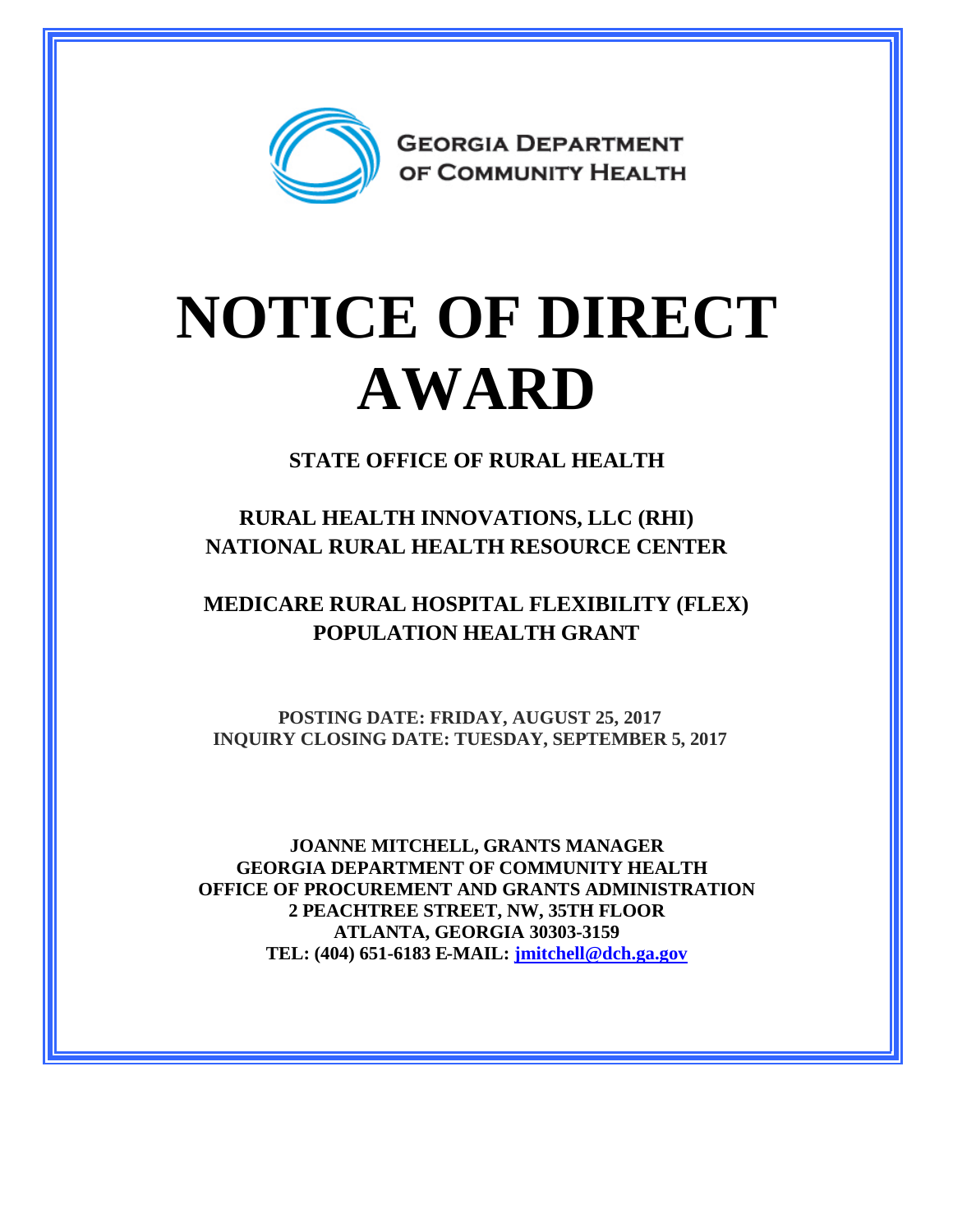

## **NOTICE OF DIRECT AWARD**

**STATE OFFICE OF RURAL HEALTH**

**RURAL HEALTH INNOVATIONS, LLC (RHI) NATIONAL RURAL HEALTH RESOURCE CENTER**

**MEDICARE RURAL HOSPITAL FLEXIBILITY (FLEX) POPULATION HEALTH GRANT**

**POSTING DATE: FRIDAY, AUGUST 25, 2017 INQUIRY CLOSING DATE: TUESDAY, SEPTEMBER 5, 2017**

**JOANNE MITCHELL, GRANTS MANAGER GEORGIA DEPARTMENT OF COMMUNITY HEALTH OFFICE OF PROCUREMENT AND GRANTS ADMINISTRATION 2 PEACHTREE STREET, NW, 35TH FLOOR ATLANTA, GEORGIA 30303-3159 TEL: (404) 651-6183 E-MAIL: [jmitchell@dch.ga.gov](mailto:jmitchell@dch.ga.gov)**